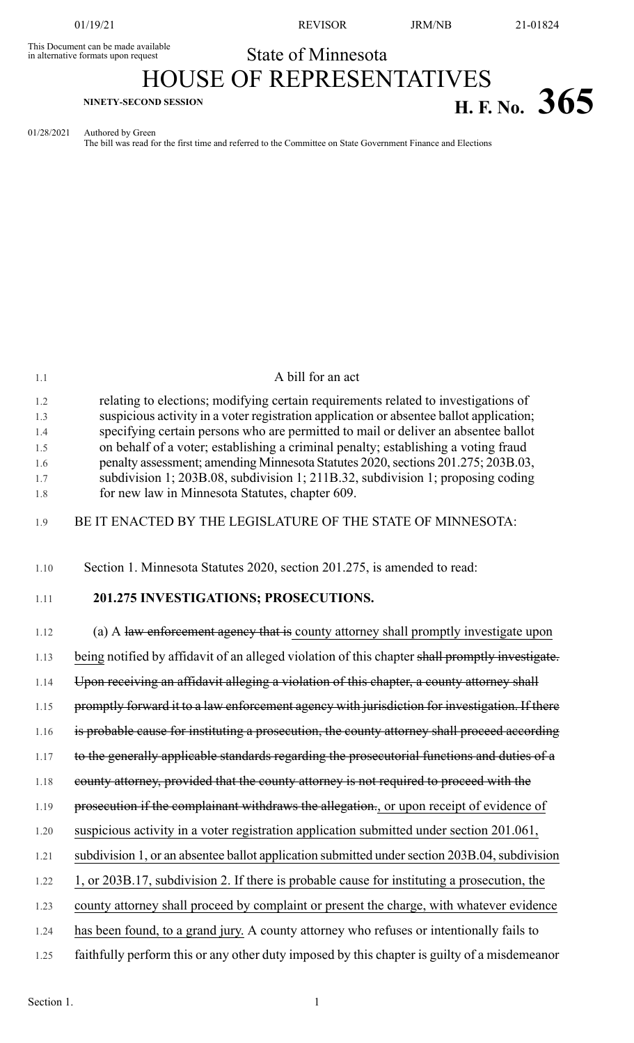This Document can be made available<br>in alternative formats upon request

01/19/21 REVISOR JRM/NB 21-01824

## State of Minnesota HOUSE OF REPRESENTATIVES **H. F.** No.  $365$  **H. F.** No.  $365$

01/28/2021 Authored by Green The bill was read for the first time and referred to the Committee on State Government Finance and Elections

| 1.1        | A bill for an act                                                                                                                                                   |
|------------|---------------------------------------------------------------------------------------------------------------------------------------------------------------------|
| 1.2        | relating to elections; modifying certain requirements related to investigations of                                                                                  |
| 1.3        | suspicious activity in a voter registration application or absentee ballot application;                                                                             |
| 1.4        | specifying certain persons who are permitted to mail or deliver an absentee ballot                                                                                  |
| 1.5        | on behalf of a voter; establishing a criminal penalty; establishing a voting fraud                                                                                  |
| 1.6<br>1.7 | penalty assessment; amending Minnesota Statutes 2020, sections 201.275; 203B.03,<br>subdivision 1; 203B.08, subdivision 1; 211B.32, subdivision 1; proposing coding |
| 1.8        | for new law in Minnesota Statutes, chapter 609.                                                                                                                     |
| 1.9        | BE IT ENACTED BY THE LEGISLATURE OF THE STATE OF MINNESOTA:                                                                                                         |
| 1.10       | Section 1. Minnesota Statutes 2020, section 201.275, is amended to read:                                                                                            |
| 1.11       | 201.275 INVESTIGATIONS; PROSECUTIONS.                                                                                                                               |
| 1.12       | (a) A law enforcement agency that is county attorney shall promptly investigate upon                                                                                |
| 1.13       | being notified by affidavit of an alleged violation of this chapter shall promptly investigate.                                                                     |
| 1.14       | Upon receiving an affidavit alleging a violation of this chapter, a county attorney shall                                                                           |
| 1.15       | promptly forward it to a law enforcement agency with jurisdiction for investigation. If there                                                                       |
| 1.16       | is probable cause for instituting a prosecution, the county attorney shall proceed according                                                                        |
| 1.17       | to the generally applicable standards regarding the prosecutorial functions and duties of a                                                                         |
| 1.18       | county attorney, provided that the county attorney is not required to proceed with the                                                                              |
| 1.19       | prosecution if the complainant withdraws the allegation., or upon receipt of evidence of                                                                            |
| 1.20       | suspicious activity in a voter registration application submitted under section 201.061,                                                                            |
| 1.21       | subdivision 1, or an absentee ballot application submitted under section 203B.04, subdivision                                                                       |
| 1.22       | 1, or 203B.17, subdivision 2. If there is probable cause for instituting a prosecution, the                                                                         |
| 1.23       | county attorney shall proceed by complaint or present the charge, with whatever evidence                                                                            |
| 1.24       | has been found, to a grand jury. A county attorney who refuses or intentionally fails to                                                                            |
| 1.25       | faithfully perform this or any other duty imposed by this chapter is guilty of a misdemean or                                                                       |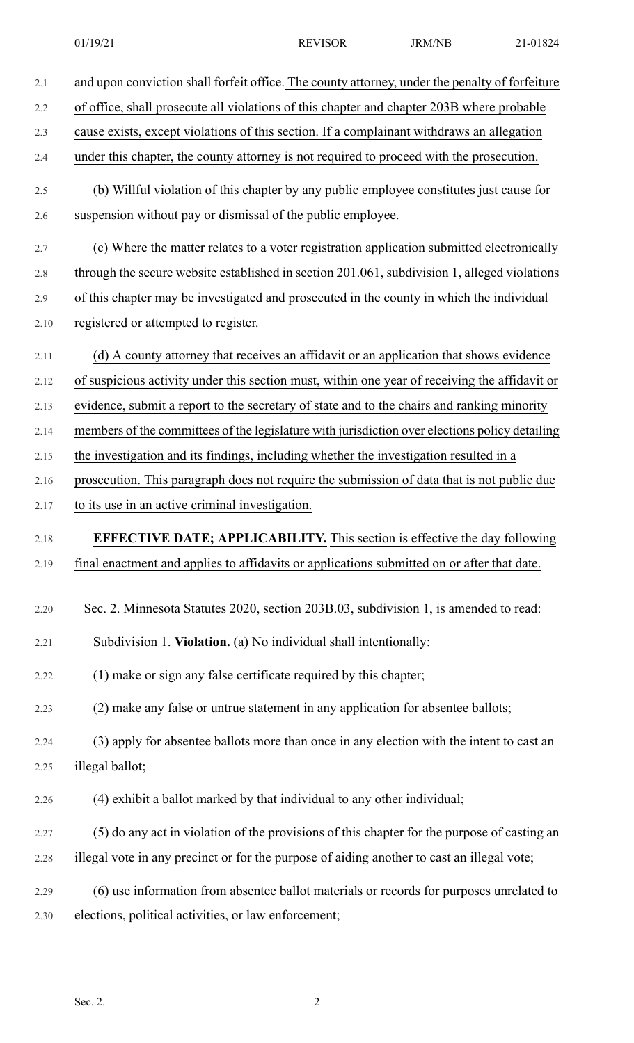| 2.1  | and upon conviction shall forfeit office. The county attorney, under the penalty of forfeiture |
|------|------------------------------------------------------------------------------------------------|
| 2.2  | of office, shall prosecute all violations of this chapter and chapter 203B where probable      |
| 2.3  | cause exists, except violations of this section. If a complainant withdraws an allegation      |
| 2.4  | under this chapter, the county attorney is not required to proceed with the prosecution.       |
| 2.5  | (b) Willful violation of this chapter by any public employee constitutes just cause for        |
| 2.6  | suspension without pay or dismissal of the public employee.                                    |
| 2.7  | (c) Where the matter relates to a voter registration application submitted electronically      |
| 2.8  | through the secure website established in section 201.061, subdivision 1, alleged violations   |
| 2.9  | of this chapter may be investigated and prosecuted in the county in which the individual       |
| 2.10 | registered or attempted to register.                                                           |
| 2.11 | (d) A county attorney that receives an affidavit or an application that shows evidence         |
| 2.12 | of suspicious activity under this section must, within one year of receiving the affidavit or  |
| 2.13 | evidence, submit a report to the secretary of state and to the chairs and ranking minority     |
| 2.14 | members of the committees of the legislature with jurisdiction over elections policy detailing |
| 2.15 | the investigation and its findings, including whether the investigation resulted in a          |
| 2.16 | prosecution. This paragraph does not require the submission of data that is not public due     |
| 2.17 | to its use in an active criminal investigation.                                                |
| 2.18 | <b>EFFECTIVE DATE; APPLICABILITY.</b> This section is effective the day following              |
| 2.19 | final enactment and applies to affidavits or applications submitted on or after that date.     |
| 2.20 | Sec. 2. Minnesota Statutes 2020, section 203B.03, subdivision 1, is amended to read:           |
| 2.21 | Subdivision 1. Violation. (a) No individual shall intentionally:                               |
| 2.22 | (1) make or sign any false certificate required by this chapter;                               |
| 2.23 | (2) make any false or untrue statement in any application for absentee ballots;                |
| 2.24 | (3) apply for absentee ballots more than once in any election with the intent to cast an       |
| 2.25 | illegal ballot;                                                                                |
| 2.26 | (4) exhibit a ballot marked by that individual to any other individual;                        |
| 2.27 | (5) do any act in violation of the provisions of this chapter for the purpose of casting an    |
| 2.28 | illegal vote in any precinct or for the purpose of aiding another to cast an illegal vote;     |
| 2.29 | (6) use information from absentee ballot materials or records for purposes unrelated to        |
| 2.30 | elections, political activities, or law enforcement;                                           |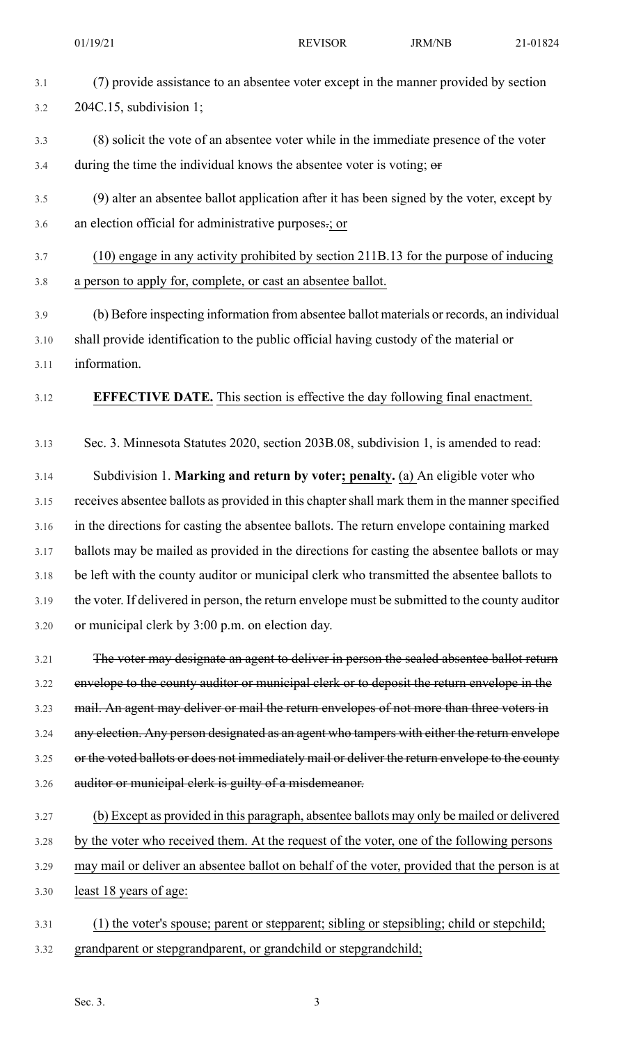| 3.1 | (7) provide assistance to an absentee voter except in the manner provided by section |
|-----|--------------------------------------------------------------------------------------|
| 3.2 | $204C.15$ , subdivision 1;                                                           |

- 3.3 (8) solicit the vote of an absentee voter while in the immediate presence of the voter  $3.4$  during the time the individual knows the absentee voter is voting;  $\theta$
- 3.5 (9) alter an absentee ballot application after it has been signed by the voter, except by 3.6 an election official for administrative purposes.; or

## 3.7 (10) engage in any activity prohibited by section 211B.13 for the purpose of inducing 3.8 a person to apply for, complete, or cast an absentee ballot.

3.9 (b) Before inspecting information from absentee ballot materials or records, an individual 3.10 shall provide identification to the public official having custody of the material or 3.11 information.

## 3.12 **EFFECTIVE DATE.** This section is effective the day following final enactment.

3.13 Sec. 3. Minnesota Statutes 2020, section 203B.08, subdivision 1, is amended to read:

3.14 Subdivision 1. **Marking and return by voter; penalty.** (a) An eligible voter who 3.15 receives absentee ballots as provided in this chapter shall mark them in the manner specified 3.16 in the directions for casting the absentee ballots. The return envelope containing marked 3.17 ballots may be mailed as provided in the directions for casting the absentee ballots or may 3.18 be left with the county auditor or municipal clerk who transmitted the absentee ballots to 3.19 the voter. If delivered in person, the return envelope must be submitted to the county auditor 3.20 or municipal clerk by 3:00 p.m. on election day.

3.21 The voter may designate an agent to deliver in person the sealed absentee ballot return 3.22 envelope to the county auditor or municipal clerk or to deposit the return envelope in the 3.23 mail. An agent may deliver or mail the return envelopes of not more than three voters in 3.24 any election. Any person designated as an agent who tampers with either the return envelope 3.25 or the voted ballots or does not immediately mail or deliver the return envelope to the county 3.26 auditor or municipal clerk is guilty of a misdemeanor.

## 3.27 (b) Except as provided in this paragraph, absentee ballots may only be mailed or delivered 3.28 by the voter who received them. At the request of the voter, one of the following persons 3.29 may mail or deliver an absentee ballot on behalf of the voter, provided that the person is at 3.30 least 18 years of age:

3.31 (1) the voter's spouse; parent or stepparent; sibling or stepsibling; child or stepchild; 3.32 grandparent or stepgrandparent, or grandchild or stepgrandchild;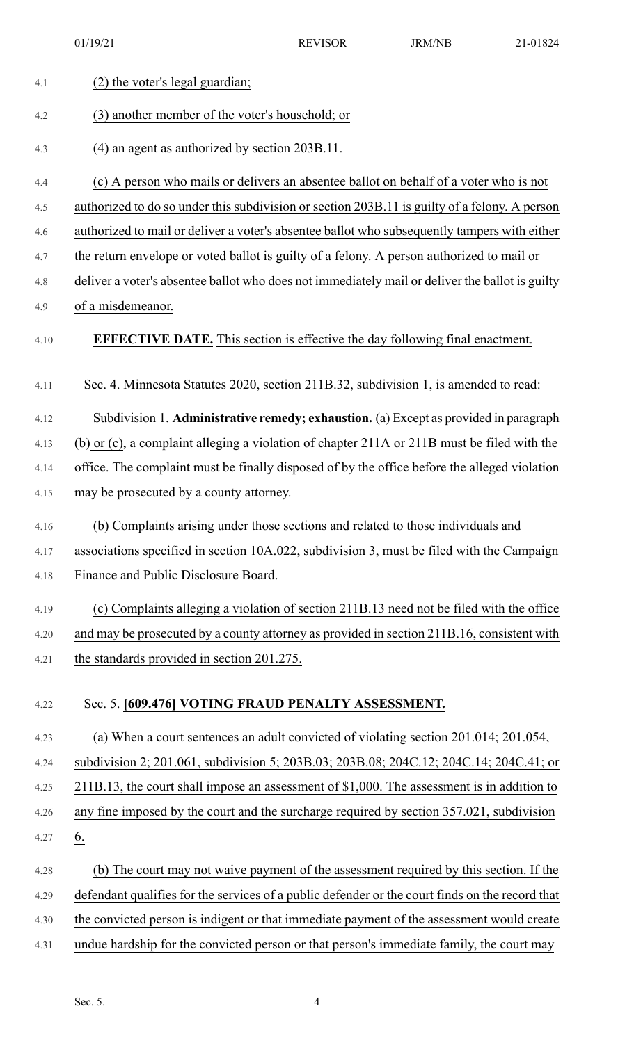01/19/21 REVISOR REVISOR 21-01824

| 4.1  | (2) the voter's legal guardian;                                                                 |
|------|-------------------------------------------------------------------------------------------------|
| 4.2  | (3) another member of the voter's household; or                                                 |
| 4.3  | (4) an agent as authorized by section 203B.11.                                                  |
| 4.4  | (c) A person who mails or delivers an absentee ballot on behalf of a voter who is not           |
| 4.5  | authorized to do so under this subdivision or section 203B.11 is guilty of a felony. A person   |
| 4.6  | authorized to mail or deliver a voter's absentee ballot who subsequently tampers with either    |
| 4.7  | the return envelope or voted ballot is guilty of a felony. A person authorized to mail or       |
| 4.8  | deliver a voter's absentee ballot who does not immediately mail or deliver the ballot is guilty |
| 4.9  | of a misdemeanor.                                                                               |
| 4.10 | <b>EFFECTIVE DATE.</b> This section is effective the day following final enactment.             |
| 4.11 | Sec. 4. Minnesota Statutes 2020, section 211B.32, subdivision 1, is amended to read:            |
| 4.12 | Subdivision 1. Administrative remedy; exhaustion. (a) Except as provided in paragraph           |
| 4.13 | (b) or (c), a complaint alleging a violation of chapter 211A or 211B must be filed with the     |
| 4.14 | office. The complaint must be finally disposed of by the office before the alleged violation    |
| 4.15 | may be prosecuted by a county attorney.                                                         |
| 4.16 | (b) Complaints arising under those sections and related to those individuals and                |
| 4.17 | associations specified in section 10A.022, subdivision 3, must be filed with the Campaign       |
| 4.18 | Finance and Public Disclosure Board.                                                            |
| 4.19 | (c) Complaints alleging a violation of section 211B.13 need not be filed with the office        |
| 4.20 | and may be prosecuted by a county attorney as provided in section 211B.16, consistent with      |
| 4.21 | the standards provided in section 201.275.                                                      |
| 4.22 | Sec. 5. [609.476] VOTING FRAUD PENALTY ASSESSMENT.                                              |
| 4.23 | (a) When a court sentences an adult convicted of violating section 201.014; 201.054,            |
| 4.24 | subdivision 2; 201.061, subdivision 5; 203B.03; 203B.08; 204C.12; 204C.14; 204C.41; or          |
| 4.25 | 211B.13, the court shall impose an assessment of \$1,000. The assessment is in addition to      |
| 4.26 | any fine imposed by the court and the surcharge required by section 357.021, subdivision        |
| 4.27 | <u>6.</u>                                                                                       |
| 4.28 | (b) The court may not waive payment of the assessment required by this section. If the          |
| 4.29 | defendant qualifies for the services of a public defender or the court finds on the record that |
| 4.30 | the convicted person is indigent or that immediate payment of the assessment would create       |
| 4.31 | undue hardship for the convicted person or that person's immediate family, the court may        |